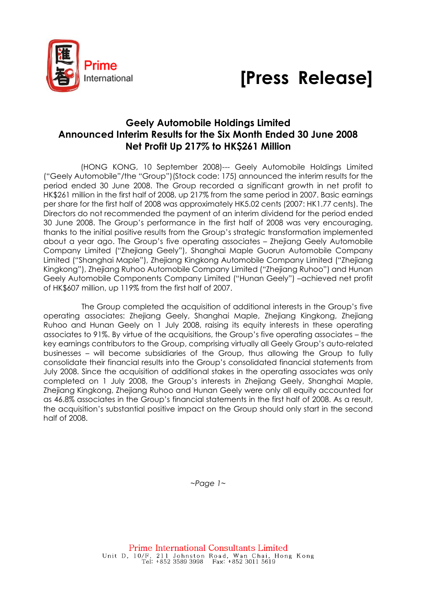



## Geely Automobile Holdings Limited Announced Interim Results for the Six Month Ended 30 June 2008 Net Profit Up 217% to HK\$261 Million

(HONG KONG, 10 September 2008)--- Geely Automobile Holdings Limited ("Geely Automobile"/the "Group")(Stock code: 175) announced the interim results for the period ended 30 June 2008. The Group recorded a significant growth in net profit to HK\$261 million in the first half of 2008, up 217% from the same period in 2007. Basic earnings per share for the first half of 2008 was approximately HK5.02 cents (2007: HK1.77 cents). The Directors do not recommended the payment of an interim dividend for the period ended 30 June 2008. The Group's performance in the first half of 2008 was very encouraging, thanks to the initial positive results from the Group's strategic transformation implemented about a year ago. The Group's five operating associates – Zhejiang Geely Automobile Company Limited ("Zhejiang Geely"), Shanghai Maple Guorun Automobile Company Limited ("Shanghai Maple"), Zhejiang Kingkong Automobile Company Limited ("Zhejiang Kingkong"), Zhejiang Ruhoo Automobile Company Limited ("Zhejiang Ruhoo") and Hunan Geely Automobile Components Company Limited ("Hunan Geely") –achieved net profit of HK\$607 million, up 119% from the first half of 2007.

 The Group completed the acquisition of additional interests in the Group's five operating associates: Zhejiang Geely, Shanghai Maple, Zhejiang Kingkong, Zhejiang Ruhoo and Hunan Geely on 1 July 2008, raising its equity interests in these operating associates to 91%. By virtue of the acquisitions, the Group's five operating associates – the key earnings contributors to the Group, comprising virtually all Geely Group's auto-related businesses – will become subsidiaries of the Group, thus allowing the Group to fully consolidate their financial results into the Group's consolidated financial statements from July 2008. Since the acquisition of additional stakes in the operating associates was only completed on 1 July 2008, the Group's interests in Zhejiang Geely, Shanghai Maple, Zhejiang Kingkong, Zhejiang Ruhoo and Hunan Geely were only all equity accounted for as 46.8% associates in the Group's financial statements in the first half of 2008. As a result, the acquisition's substantial positive impact on the Group should only start in the second half of 2008.

 $~\sim$ Page 1 $~\sim$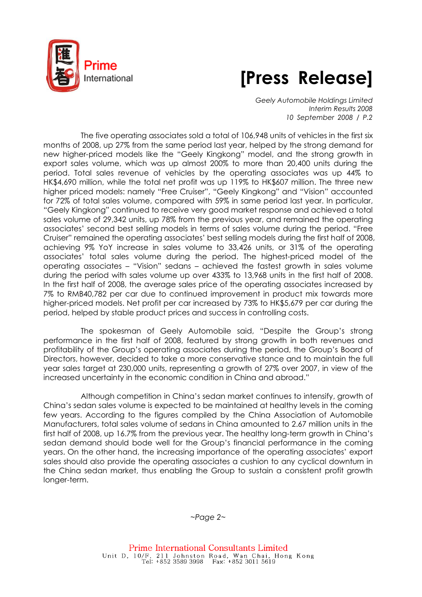



Geely Automobile Holdings Limited Interim Results 2008 10 September 2008 / P.2

The five operating associates sold a total of 106,948 units of vehicles in the first six months of 2008, up 27% from the same period last year, helped by the strong demand for new higher-priced models like the "Geely Kingkong" model, and the strong growth in export sales volume, which was up almost 200% to more than 20,400 units during the period. Total sales revenue of vehicles by the operating associates was up 44% to HK\$4,690 million, while the total net profit was up 119% to HK\$607 million. The three new higher priced models: namely "Free Cruiser", "Geely Kingkong" and "Vision" accounted for 72% of total sales volume, compared with 59% in same period last year. In particular, "Geely Kingkong" continued to receive very good market response and achieved a total sales volume of 29,342 units, up 78% from the previous year, and remained the operating associates' second best selling models in terms of sales volume during the period. "Free Cruiser" remained the operating associates' best selling models during the first half of 2008, achieving 9% YoY increase in sales volume to 33,426 units, or 31% of the operating associates' total sales volume during the period. The highest-priced model of the operating associates – "Vision" sedans – achieved the fastest growth in sales volume during the period with sales volume up over 433% to 13,968 units in the first half of 2008. In the first half of 2008, the average sales price of the operating associates increased by 7% to RMB40,782 per car due to continued improvement in product mix towards more higher-priced models. Net profit per car increased by 73% to HK\$5,679 per car during the period, helped by stable product prices and success in controlling costs.

The spokesman of Geely Automobile said, "Despite the Group's strong performance in the first half of 2008, featured by strong growth in both revenues and profitability of the Group's operating associates during the period, the Group's Board of Directors, however, decided to take a more conservative stance and to maintain the full year sales target at 230,000 units, representing a growth of 27% over 2007, in view of the increased uncertainty in the economic condition in China and abroad."

Although competition in China's sedan market continues to intensify, growth of China's sedan sales volume is expected to be maintained at healthy levels in the coming few years. According to the figures compiled by the China Association of Automobile Manufacturers, total sales volume of sedans in China amounted to 2.67 million units in the first half of 2008, up 16.7% from the previous year. The healthy long-term growth in China's sedan demand should bode well for the Group's financial performance in the coming years. On the other hand, the increasing importance of the operating associates' export sales should also provide the operating associates a cushion to any cyclical downturn in the China sedan market, thus enabling the Group to sustain a consistent profit growth longer-term.

 $~$ -Page 2 $~$